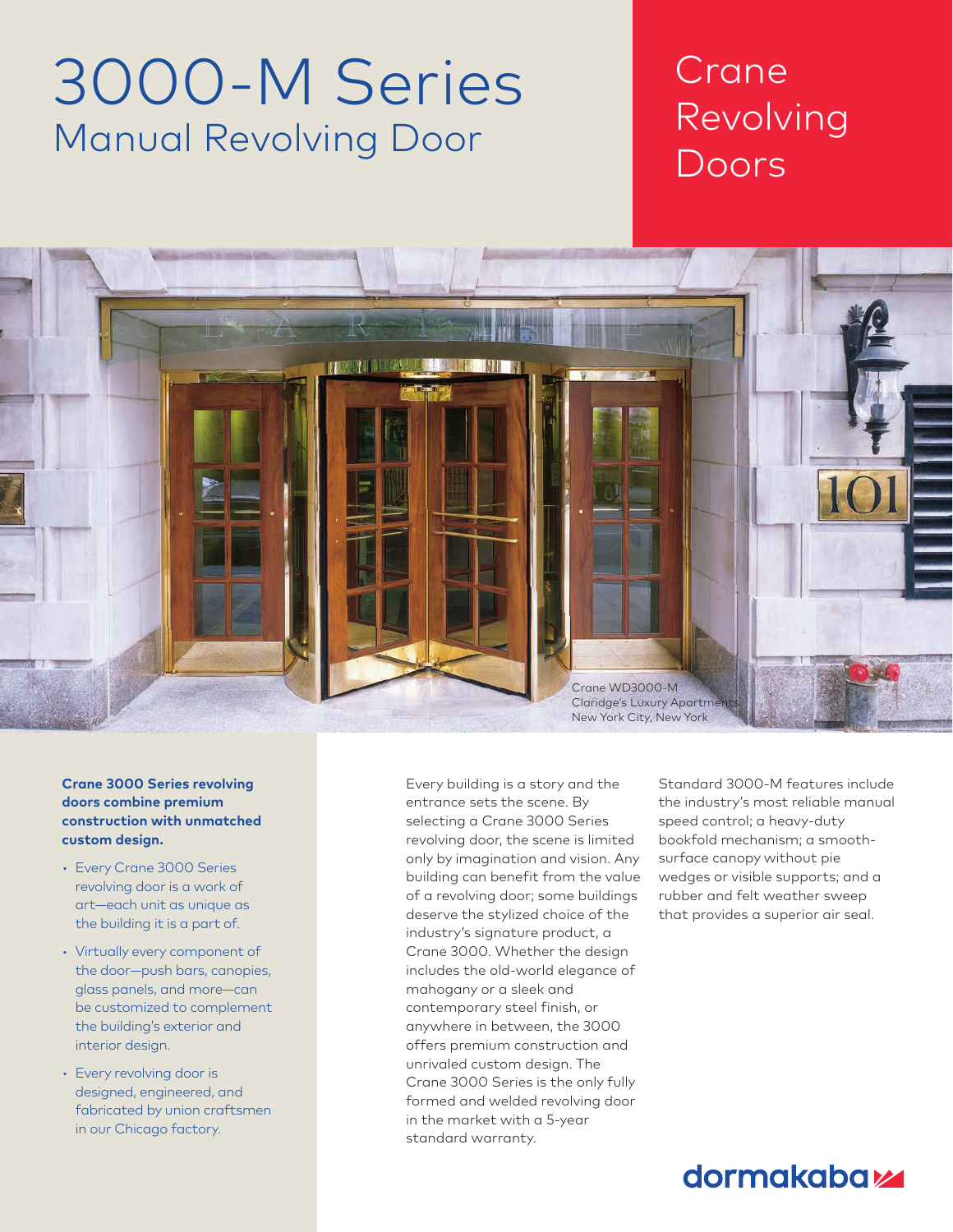# 3000-M Series Manual Revolving Door

## Crane Revolving Doors

Chapter Title Section Title



#### **Crane 3000 Series revolving doors combine premium construction with unmatched custom design.**

- Every Crane 3000 Series revolving door is a work of art—each unit as unique as the building it is a part of.
- Virtually every component of the door—push bars, canopies, glass panels, and more—can be customized to complement the building's exterior and interior design.
- Every revolving door is designed, engineered, and fabricated by union craftsmen in our Chicago factory.

Every building is a story and the entrance sets the scene. By selecting a Crane 3000 Series revolving door, the scene is limited only by imagination and vision. Any building can benefit from the value of a revolving door; some buildings deserve the stylized choice of the industry's signature product, a Crane 3000. Whether the design includes the old-world elegance of mahogany or a sleek and contemporary steel finish, or anywhere in between, the 3000 offers premium construction and unrivaled custom design. The Crane 3000 Series is the only fully formed and welded revolving door in the market with a 5-year standard warranty.

Standard 3000-M features include the industry's most reliable manual speed control; a heavy-duty bookfold mechanism; a smoothsurface canopy without pie wedges or visible supports; and a rubber and felt weather sweep that provides a superior air seal.

### dormakaba<sub>k</sub>